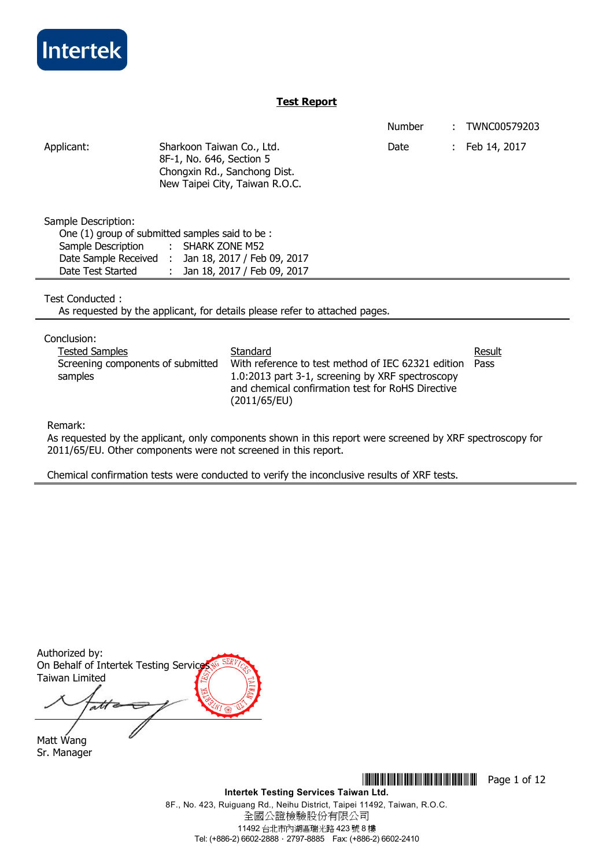

# **Test Report**

|                      |                                                                                                                         | <b>Number</b> | TWNC00579203 |
|----------------------|-------------------------------------------------------------------------------------------------------------------------|---------------|--------------|
| Applicant:           | Sharkoon Taiwan Co., Ltd.<br>8F-1, No. 646, Section 5<br>Chongxin Rd., Sanchong Dist.<br>New Taipei City, Taiwan R.O.C. | Date          | Feb 14, 2017 |
| Sample Description:  |                                                                                                                         |               |              |
|                      | One (1) group of submitted samples said to be:                                                                          |               |              |
| Sample Description   | $:$ SHARK ZONE M52                                                                                                      |               |              |
| Date Sample Received | Jan 18, 2017 / Feb 09, 2017                                                                                             |               |              |
| Date Test Started    | Jan 18, 2017 / Feb 09, 2017                                                                                             |               |              |
|                      |                                                                                                                         |               |              |

Test Conducted :

As requested by the applicant, for details please refer to attached pages.

Conclusion:

| Standard                                           | Result |
|----------------------------------------------------|--------|
| With reference to test method of IEC 62321 edition | Pass   |
| 1.0:2013 part 3-1, screening by XRF spectroscopy   |        |
| and chemical confirmation test for RoHS Directive  |        |
| (2011/65/EU)                                       |        |
|                                                    |        |

Remark:

As requested by the applicant, only components shown in this report were screened by XRF spectroscopy for 2011/65/EU. Other components were not screened in this report.

Chemical confirmation tests were conducted to verify the inconclusive results of XRF tests.

Authorized by: On Behalf of Intertek Testing Service Taiwan Limited  $\overline{at}$ 

Matt Wang Sr. Manager

**THEFT READERS** THE THILLET THE THILLET THE Page 1 of 12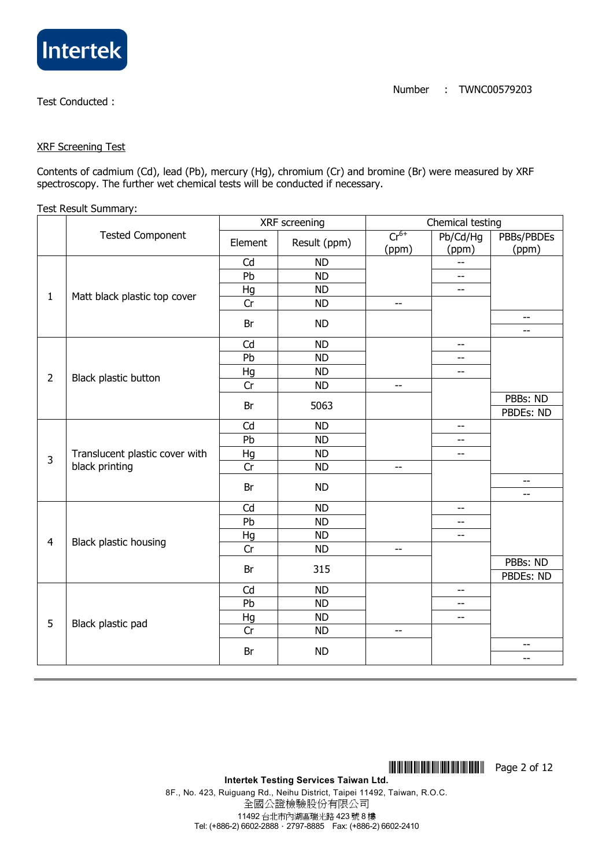

### XRF Screening Test

Contents of cadmium (Cd), lead (Pb), mercury (Hg), chromium (Cr) and bromine (Br) were measured by XRF spectroscopy. The further wet chemical tests will be conducted if necessary.

### Test Result Summary:

|                |                                | XRF screening |              | Chemical testing         |                          |              |  |
|----------------|--------------------------------|---------------|--------------|--------------------------|--------------------------|--------------|--|
|                | <b>Tested Component</b>        | Element       | Result (ppm) | $Cr^{6+}$                | Pb/Cd/Hg                 | PBBs/PBDEs   |  |
|                |                                |               |              | (ppm)                    | (ppm)                    | (ppm)        |  |
|                |                                | Cd            | <b>ND</b>    |                          | $-$                      |              |  |
|                |                                | Pb            | <b>ND</b>    |                          | --                       |              |  |
| $\mathbf{1}$   | Matt black plastic top cover   | Hg            | <b>ND</b>    |                          | --                       |              |  |
|                |                                | Cr            | <b>ND</b>    | $- -$                    |                          |              |  |
|                |                                | Br            | <b>ND</b>    |                          |                          | --<br>--     |  |
|                |                                | Cd            | <b>ND</b>    |                          | $-$                      |              |  |
|                |                                | Pb            | <b>ND</b>    |                          | $-$                      |              |  |
|                |                                | Hg            | <b>ND</b>    |                          | $-$                      |              |  |
| $\overline{2}$ | Black plastic button           | Cr            | <b>ND</b>    | $-$                      |                          |              |  |
|                |                                |               |              |                          |                          | PBBs: ND     |  |
|                |                                | Br            | 5063         |                          |                          | PBDEs: ND    |  |
|                |                                | Cd            | <b>ND</b>    |                          | $\overline{\phantom{m}}$ |              |  |
|                |                                | Pb            | <b>ND</b>    |                          | --                       |              |  |
| 3              | Translucent plastic cover with | Hg            | <b>ND</b>    |                          | $\overline{\phantom{m}}$ |              |  |
|                | black printing                 | Cr            | <b>ND</b>    | $-$                      |                          |              |  |
|                |                                | Br            | <b>ND</b>    |                          |                          | $-$<br>$-$   |  |
|                |                                | Cd            | <b>ND</b>    |                          | $-$                      |              |  |
|                |                                | Pb            | <b>ND</b>    |                          | --                       |              |  |
|                |                                | Hg            | <b>ND</b>    |                          | --                       |              |  |
| $\overline{4}$ | Black plastic housing          | Cr            | <b>ND</b>    | $-$                      |                          |              |  |
|                |                                |               |              |                          |                          | PBBs: ND     |  |
|                |                                | Br            | 315          |                          |                          | PBDEs: ND    |  |
|                |                                | Cd            | <b>ND</b>    |                          | $\overline{\phantom{a}}$ |              |  |
|                |                                | Pb            | <b>ND</b>    |                          | $-$                      |              |  |
| 5              | Black plastic pad              | Hg            | <b>ND</b>    |                          | --                       |              |  |
|                |                                | Cr            | <b>ND</b>    | $\overline{\phantom{a}}$ |                          |              |  |
|                |                                | Br            | <b>ND</b>    |                          |                          | $-$<br>$- -$ |  |
|                |                                |               |              |                          |                          |              |  |

**THEFFERICAL SET IN STATE IN THE READ FOR A 2 OF 12**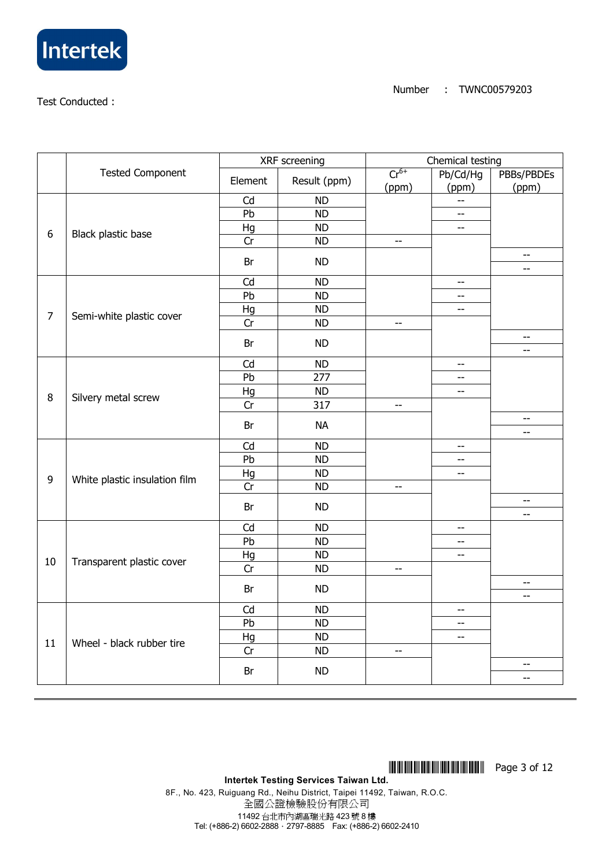

|                  |                               | XRF screening |              | Chemical testing         |                          |                          |  |
|------------------|-------------------------------|---------------|--------------|--------------------------|--------------------------|--------------------------|--|
|                  | <b>Tested Component</b>       | Element       | Result (ppm) | $Cr^{6+}$                | Pb/Cd/Hg                 | PBBs/PBDEs               |  |
|                  |                               |               |              | (ppm)                    | (ppm)                    | (ppm)                    |  |
|                  |                               | Cd            | <b>ND</b>    |                          | $\overline{a}$           |                          |  |
|                  |                               | Pb            | <b>ND</b>    |                          | $\overline{\phantom{m}}$ |                          |  |
| $\boldsymbol{6}$ | Black plastic base            | Hg            | <b>ND</b>    |                          | $\overline{\phantom{m}}$ |                          |  |
|                  |                               | Cr            | <b>ND</b>    | $\overline{\phantom{a}}$ |                          |                          |  |
|                  |                               | Br            | <b>ND</b>    |                          |                          | $-$<br>--                |  |
|                  |                               | Cd            | <b>ND</b>    |                          | $- -$                    |                          |  |
|                  |                               | Pb            | <b>ND</b>    |                          | $-$                      |                          |  |
|                  |                               | Hg            | <b>ND</b>    |                          | $\overline{\phantom{a}}$ |                          |  |
| $\overline{7}$   | Semi-white plastic cover      | Cr            | <b>ND</b>    | $\overline{\phantom{a}}$ |                          |                          |  |
|                  |                               |               |              |                          |                          | $- -$                    |  |
|                  |                               | Br            | <b>ND</b>    |                          |                          | --                       |  |
|                  |                               | Cd            | <b>ND</b>    |                          | $\overline{\phantom{m}}$ |                          |  |
|                  |                               | Pb            | 277          |                          | --                       |                          |  |
|                  |                               | Hg            | <b>ND</b>    |                          | $-$                      |                          |  |
| $\bf 8$          | Silvery metal screw           | Cr            | 317          | $\overline{\phantom{m}}$ |                          |                          |  |
|                  |                               | Br            | <b>NA</b>    |                          |                          | $-\!$ –<br>$-$           |  |
|                  |                               | Cd            | <b>ND</b>    |                          | --                       |                          |  |
|                  |                               | Pb            | <b>ND</b>    |                          | $-$                      |                          |  |
|                  |                               | Hg            | <b>ND</b>    |                          | $\overline{a}$           |                          |  |
| $\boldsymbol{9}$ | White plastic insulation film | Cr            | <b>ND</b>    | $\overline{\phantom{m}}$ |                          |                          |  |
|                  |                               |               |              |                          |                          | $\overline{\phantom{a}}$ |  |
|                  |                               | Br            | <b>ND</b>    |                          |                          | $\overline{\phantom{a}}$ |  |
|                  |                               | Cd            | <b>ND</b>    |                          | $-$                      |                          |  |
|                  |                               | Pb            | <b>ND</b>    |                          | $-$                      |                          |  |
|                  |                               | Hg            | <b>ND</b>    |                          | $-$                      |                          |  |
| 10               | Transparent plastic cover     | Cr            | <b>ND</b>    | $\overline{\phantom{m}}$ |                          |                          |  |
|                  |                               | Br            | <b>ND</b>    |                          |                          | $\overline{\phantom{m}}$ |  |
|                  |                               |               |              |                          |                          | --                       |  |
|                  |                               | Cd            | <b>ND</b>    |                          | $-$                      |                          |  |
|                  |                               | Pb            | <b>ND</b>    |                          | $-$                      |                          |  |
| 11               | Wheel - black rubber tire     | Hg            | <b>ND</b>    |                          | $- -$                    |                          |  |
|                  |                               | Cr            | <b>ND</b>    | $-\,-$                   |                          |                          |  |
|                  |                               | Br            | <b>ND</b>    |                          |                          | --<br>--                 |  |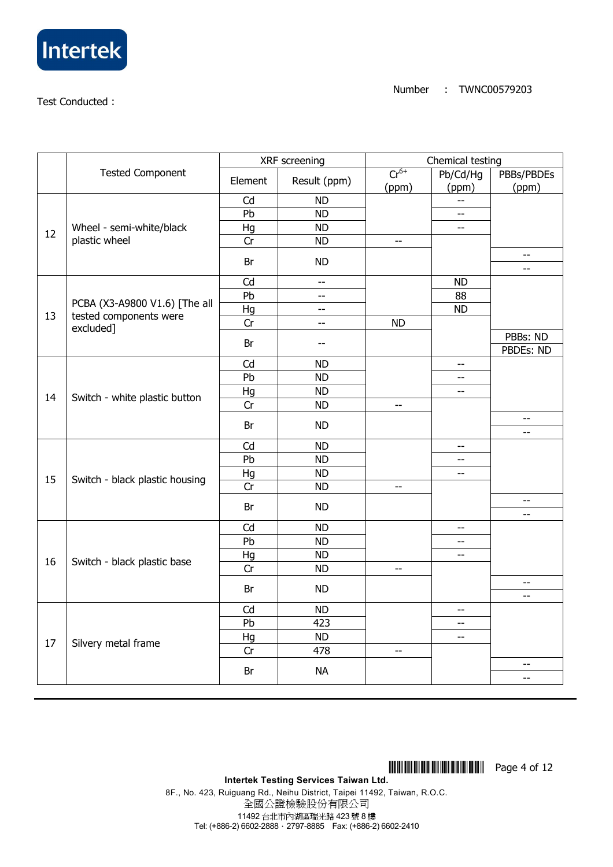

|    |                                | XRF screening |                | Chemical testing         |                          |                                                     |  |
|----|--------------------------------|---------------|----------------|--------------------------|--------------------------|-----------------------------------------------------|--|
|    | <b>Tested Component</b>        | Element       | Result (ppm)   | $Cr^{6+}$                | Pb/Cd/Hg                 | PBBs/PBDEs                                          |  |
|    |                                |               |                | (ppm)                    | (ppm)                    | (ppm)                                               |  |
|    |                                | Cd            | <b>ND</b>      |                          | $-$                      |                                                     |  |
|    |                                |               | <b>ND</b>      |                          | $-$                      |                                                     |  |
| 12 | Wheel - semi-white/black       | Hg            | <b>ND</b>      |                          | $\overline{\phantom{a}}$ |                                                     |  |
|    | plastic wheel                  | Cr            | <b>ND</b>      | $\overline{\phantom{a}}$ |                          |                                                     |  |
|    |                                | Br            | <b>ND</b>      |                          |                          | $-$<br>$-$                                          |  |
|    |                                | Cd            | $\overline{a}$ |                          | <b>ND</b>                |                                                     |  |
|    |                                | Pb            | --             |                          | 88                       |                                                     |  |
|    | PCBA (X3-A9800 V1.6) [The all  | Hg            | $-$            |                          | <b>ND</b>                |                                                     |  |
| 13 | tested components were         | Cr            | $\overline{a}$ | <b>ND</b>                |                          |                                                     |  |
|    | excluded]                      |               |                |                          |                          | PBBs: ND                                            |  |
|    |                                | Br            | --             |                          |                          | PBDEs: ND                                           |  |
|    |                                | Cd            | <b>ND</b>      |                          | $- -$                    |                                                     |  |
|    |                                | Pb            | <b>ND</b>      |                          | --                       |                                                     |  |
|    |                                | Hg            | <b>ND</b>      |                          | $-$                      |                                                     |  |
| 14 | Switch - white plastic button  | Cr            | <b>ND</b>      | $-$                      |                          |                                                     |  |
|    |                                | Br            | <b>ND</b>      |                          |                          | $- -$<br>$\overline{a}$                             |  |
|    |                                | Cd            | <b>ND</b>      |                          | $- -$                    |                                                     |  |
|    |                                | Pb            | <b>ND</b>      |                          | --                       |                                                     |  |
|    |                                | Hg            | <b>ND</b>      |                          | $-$                      |                                                     |  |
| 15 | Switch - black plastic housing | Cr            | <b>ND</b>      | $\overline{\phantom{a}}$ |                          |                                                     |  |
|    |                                |               |                |                          |                          | $\hspace{0.05cm} -\hspace{0.05cm} -\hspace{0.05cm}$ |  |
|    |                                | Br            | <b>ND</b>      |                          |                          | $-$                                                 |  |
|    |                                | Cd            | <b>ND</b>      |                          | --                       |                                                     |  |
|    |                                | Pb            | <b>ND</b>      |                          | $-$                      |                                                     |  |
|    |                                | Hg            | <b>ND</b>      |                          | $-$                      |                                                     |  |
| 16 | Switch - black plastic base    | Cr            | <b>ND</b>      | $\overline{\phantom{m}}$ |                          |                                                     |  |
|    |                                |               | <b>ND</b>      |                          |                          | $\overline{\phantom{a}}$                            |  |
|    |                                | Br            |                |                          |                          | $- -$                                               |  |
|    |                                | Cd            | <b>ND</b>      |                          | $-$                      |                                                     |  |
|    |                                | Pb            | 423            |                          | $\overline{a}$           |                                                     |  |
| 17 |                                | Hg            | <b>ND</b>      |                          | $- -$                    |                                                     |  |
|    | Silvery metal frame            | Cr            | 478            | $\overline{\phantom{m}}$ |                          |                                                     |  |
|    |                                | Br            | <b>NA</b>      |                          |                          | --<br>--                                            |  |

8F., No. 423, Ruiguang Rd., Neihu District, Taipei 11492, Taiwan, R.O.C. 全國公證檢驗股份有限公司 11492 台北市內湖區瑞光路 423 號 8 樓 Tel: (+886-2) 6602-2888.2797-8885 Fax: (+886-2) 6602-2410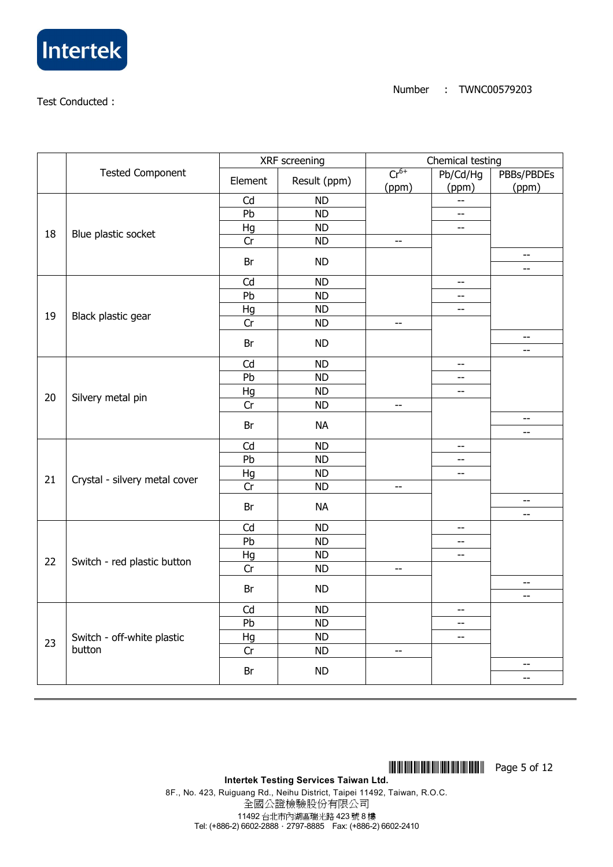

|    |                               | XRF screening |              | Chemical testing         |                                               |                          |  |
|----|-------------------------------|---------------|--------------|--------------------------|-----------------------------------------------|--------------------------|--|
|    | <b>Tested Component</b>       | Element       | Result (ppm) | $Cr^{6+}$                | Pb/Cd/Hg                                      | PBBs/PBDEs               |  |
|    |                               |               |              | (ppm)                    | (ppm)                                         | (ppm)                    |  |
|    |                               | Cd            | <b>ND</b>    |                          | $-$                                           |                          |  |
|    |                               | Pb            | <b>ND</b>    |                          | $-$                                           |                          |  |
| 18 | Blue plastic socket           | Hg            | <b>ND</b>    |                          | $-$                                           |                          |  |
|    |                               | Cr            | <b>ND</b>    | $\overline{\phantom{a}}$ |                                               |                          |  |
|    |                               | Br            | <b>ND</b>    |                          |                                               | $\overline{\phantom{a}}$ |  |
|    |                               |               |              |                          |                                               | --                       |  |
|    |                               | Cd            | <b>ND</b>    |                          | $- -$                                         |                          |  |
|    |                               | Pb            | <b>ND</b>    |                          | $-$                                           |                          |  |
| 19 | Black plastic gear            | Hg            | <b>ND</b>    |                          | $- -$                                         |                          |  |
|    |                               | Cr            | <b>ND</b>    | $\overline{a}$           |                                               |                          |  |
|    |                               | Br            | <b>ND</b>    |                          |                                               | $-$                      |  |
|    |                               |               |              |                          |                                               | $-$                      |  |
|    |                               | Cd            | <b>ND</b>    |                          | $\overline{\phantom{m}}$                      |                          |  |
|    |                               | Pb            | <b>ND</b>    |                          | $-$                                           |                          |  |
| 20 | Silvery metal pin             | Hg            | <b>ND</b>    |                          | $-\!$ –                                       |                          |  |
|    |                               | Cr            | <b>ND</b>    | $\overline{\phantom{a}}$ |                                               |                          |  |
|    |                               | Br            | <b>NA</b>    |                          |                                               | $-$                      |  |
|    |                               |               |              |                          |                                               | $-$                      |  |
|    |                               | Cd            | <b>ND</b>    |                          | $\overline{\phantom{a}}$                      |                          |  |
|    |                               | Pb            | <b>ND</b>    |                          | $- -$                                         |                          |  |
| 21 | Crystal - silvery metal cover | Hg            | <b>ND</b>    |                          | $\overline{\phantom{a}}$                      |                          |  |
|    |                               | Cr            | <b>ND</b>    | $\overline{a}$           |                                               |                          |  |
|    |                               | Br            | <b>NA</b>    |                          |                                               | $- -$                    |  |
|    |                               |               |              |                          |                                               | $- -$                    |  |
|    |                               | Cd            | <b>ND</b>    |                          | $\mathord{\hspace{1pt}\text{--}\hspace{1pt}}$ |                          |  |
|    |                               | Pb            | <b>ND</b>    |                          | $- \, -$                                      |                          |  |
| 22 | Switch - red plastic button   | Hg            | <b>ND</b>    |                          | $\overline{\phantom{m}}$                      |                          |  |
|    |                               | Cr            | <b>ND</b>    | $-$                      |                                               |                          |  |
|    |                               | Br            | <b>ND</b>    |                          |                                               | $\overline{\phantom{m}}$ |  |
|    |                               |               |              |                          |                                               | $\overline{\phantom{m}}$ |  |
|    |                               | Cd            | <b>ND</b>    |                          | $- \, -$                                      |                          |  |
|    |                               | Pb            | <b>ND</b>    |                          | --                                            |                          |  |
| 23 | Switch - off-white plastic    | Hg            | <b>ND</b>    |                          | $\overline{\phantom{a}}$                      |                          |  |
|    | button                        | Cr            | <b>ND</b>    | $\overline{\phantom{a}}$ |                                               |                          |  |
|    |                               | Br            | <b>ND</b>    |                          |                                               | $\overline{\phantom{m}}$ |  |
|    |                               |               |              |                          |                                               | $-$                      |  |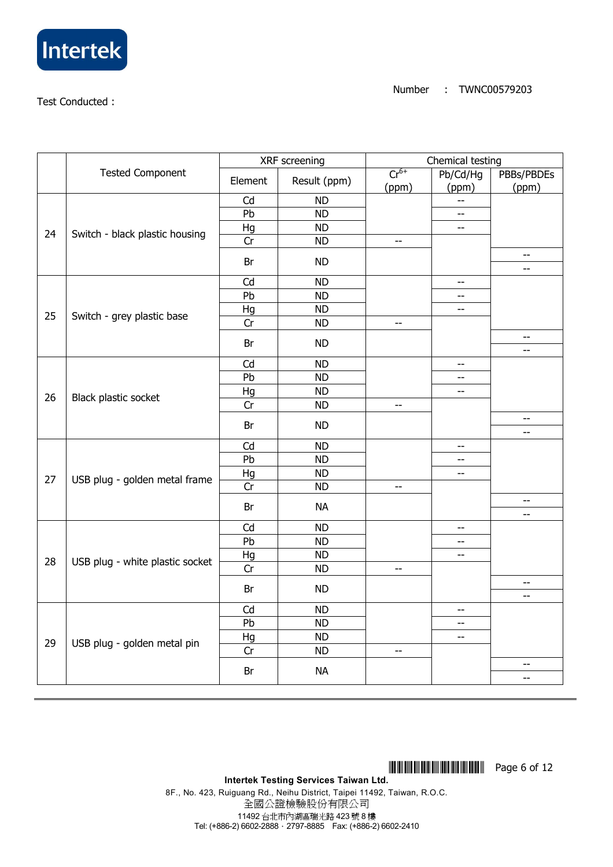

|    |                                 | XRF screening |              | Chemical testing         |                                               |                                 |  |
|----|---------------------------------|---------------|--------------|--------------------------|-----------------------------------------------|---------------------------------|--|
|    | <b>Tested Component</b>         | Element       | Result (ppm) | $Cr^{6+}$                | Pb/Cd/Hg                                      | PBBs/PBDEs                      |  |
|    |                                 | Cd            |              | (ppm)                    | (ppm)                                         | (ppm)                           |  |
|    |                                 |               | <b>ND</b>    |                          | $\overline{a}$                                |                                 |  |
|    |                                 | Pb            | <b>ND</b>    |                          | $-$                                           |                                 |  |
| 24 | Switch - black plastic housing  | Hg            | <b>ND</b>    |                          | $\mathord{\hspace{1pt}\text{--}\hspace{1pt}}$ |                                 |  |
|    |                                 | Cr            | <b>ND</b>    | $\overline{\phantom{m}}$ |                                               |                                 |  |
|    |                                 | Br            | <b>ND</b>    |                          |                                               | $-$<br>$-$                      |  |
|    |                                 | Cd            | <b>ND</b>    |                          | $\overline{\phantom{a}}$                      |                                 |  |
|    |                                 | Pb            | <b>ND</b>    |                          | $- -$                                         |                                 |  |
|    |                                 | Hg            | <b>ND</b>    |                          | $\mathord{\hspace{1pt}\text{--}\hspace{1pt}}$ |                                 |  |
| 25 | Switch - grey plastic base      | Cr            | <b>ND</b>    | $-$                      |                                               |                                 |  |
|    |                                 | Br            | <b>ND</b>    |                          |                                               | --                              |  |
|    |                                 |               |              |                          |                                               | $\overline{\phantom{m}}$        |  |
|    |                                 | Cd            | <b>ND</b>    |                          | $- \, -$                                      |                                 |  |
|    |                                 | Pb            | <b>ND</b>    |                          | --                                            |                                 |  |
| 26 | Black plastic socket            | Hg            | <b>ND</b>    |                          | $-$                                           |                                 |  |
|    |                                 | Cr            | <b>ND</b>    | $\overline{\phantom{m}}$ |                                               |                                 |  |
|    |                                 | Br            | <b>ND</b>    |                          |                                               | $\overline{\phantom{m}}$<br>--  |  |
|    |                                 | Cd            | <b>ND</b>    |                          | $- -$                                         |                                 |  |
|    |                                 | Pb            | <b>ND</b>    |                          | $-$                                           |                                 |  |
|    |                                 | Hg            | <b>ND</b>    |                          | $- -$                                         |                                 |  |
| 27 | USB plug - golden metal frame   | Cr            | <b>ND</b>    | $\overline{\phantom{a}}$ |                                               |                                 |  |
|    |                                 | Br            | <b>NA</b>    |                          |                                               | $\overline{\phantom{m}}$<br>--  |  |
|    |                                 | Cd            | <b>ND</b>    |                          | $-$                                           |                                 |  |
|    |                                 | Pb            | <b>ND</b>    |                          | $-$                                           |                                 |  |
|    |                                 | Hg            | <b>ND</b>    |                          | $\overline{\phantom{m}}$                      |                                 |  |
| 28 | USB plug - white plastic socket | Cr            | <b>ND</b>    | $-$                      |                                               |                                 |  |
|    |                                 |               |              |                          |                                               | $-$                             |  |
|    | Br                              | <b>ND</b>     |              |                          | $\overline{a}$                                |                                 |  |
|    |                                 | Cd            | <b>ND</b>    |                          | --                                            |                                 |  |
|    |                                 | Pb            | <b>ND</b>    |                          | --                                            |                                 |  |
| 29 |                                 | Hg            | <b>ND</b>    |                          | $\overline{\phantom{m}}$                      |                                 |  |
|    | USB plug - golden metal pin     | Cr            | <b>ND</b>    | $-\, -$                  |                                               |                                 |  |
|    |                                 | Br            | <b>NA</b>    |                          |                                               | $\overline{\phantom{m}}$<br>$-$ |  |
|    |                                 |               |              |                          |                                               |                                 |  |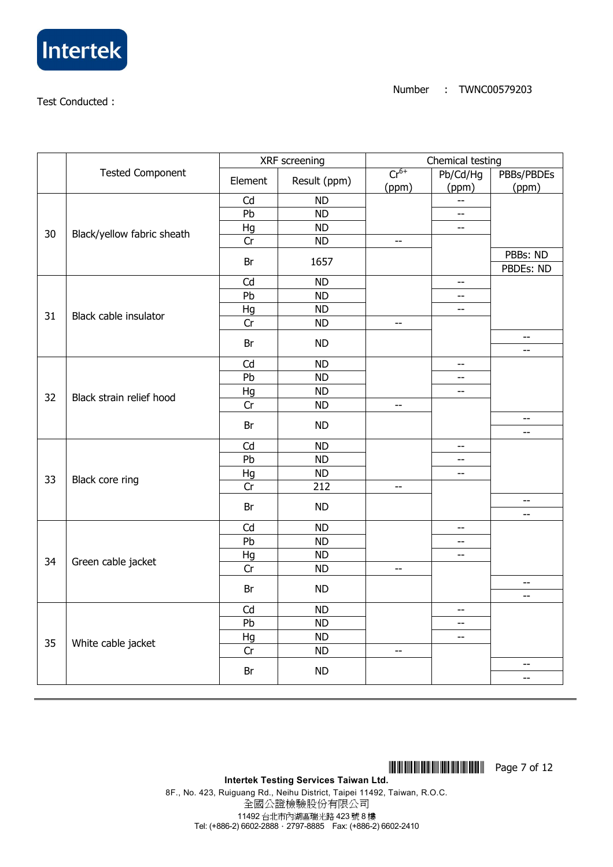

|    |                            | XRF screening |              | Chemical testing         |                          |                   |  |
|----|----------------------------|---------------|--------------|--------------------------|--------------------------|-------------------|--|
|    | <b>Tested Component</b>    | Element       | Result (ppm) | $Cr^{6+}$                | Pb/Cd/Hg                 | PBBs/PBDEs        |  |
|    |                            |               |              | (ppm)                    | (ppm)                    | (ppm)             |  |
|    |                            | Cd            | <b>ND</b>    |                          | $\overline{a}$           |                   |  |
|    |                            | Pb            | <b>ND</b>    |                          | $\overline{\phantom{m}}$ |                   |  |
| 30 | Black/yellow fabric sheath | Hg            | <b>ND</b>    |                          | $\overline{\phantom{m}}$ |                   |  |
|    |                            | Cr            | <b>ND</b>    | $\overline{\phantom{a}}$ |                          |                   |  |
|    |                            | Br            | 1657         |                          |                          | PBBs: ND          |  |
|    |                            |               |              |                          |                          | PBDEs: ND         |  |
|    |                            | Cd            | <b>ND</b>    |                          | --                       |                   |  |
|    |                            | Pb            | <b>ND</b>    |                          | $-$                      |                   |  |
| 31 | Black cable insulator      | Hg            | <b>ND</b>    |                          | $\overline{\phantom{m}}$ |                   |  |
|    |                            | Cr            | <b>ND</b>    | $\overline{\phantom{a}}$ |                          |                   |  |
|    |                            | Br            | <b>ND</b>    |                          |                          | $- -$             |  |
|    |                            |               |              |                          |                          | --                |  |
|    |                            | Cd            | <b>ND</b>    |                          | $\overline{\phantom{m}}$ |                   |  |
|    |                            | Pb            | <b>ND</b>    |                          | $- -$                    |                   |  |
| 32 | Black strain relief hood   | Hg            | <b>ND</b>    |                          | $-$                      |                   |  |
|    |                            | Cr            | <b>ND</b>    | $\overline{\phantom{m}}$ |                          |                   |  |
|    |                            | Br            | <b>ND</b>    |                          |                          | --                |  |
|    |                            |               |              |                          |                          | $-$               |  |
|    |                            | Cd            | <b>ND</b>    |                          | --                       |                   |  |
|    |                            | Pb            | <b>ND</b>    |                          | $-$                      |                   |  |
| 33 | Black core ring            | Hg            | <b>ND</b>    |                          | $\overline{a}$           |                   |  |
|    |                            | Cr            | 212          | $\overline{\phantom{m}}$ |                          |                   |  |
|    |                            | Br            | <b>ND</b>    |                          |                          | $- -$             |  |
|    |                            |               |              |                          |                          | $\overline{a}$    |  |
|    |                            | Cd            | <b>ND</b>    |                          | $- -$                    |                   |  |
|    |                            | Pb            | <b>ND</b>    |                          | $-$                      |                   |  |
| 34 | Green cable jacket         | Hg            | <b>ND</b>    |                          | $-$                      |                   |  |
|    |                            | Cr            | <b>ND</b>    | $\overline{\phantom{m}}$ |                          |                   |  |
|    |                            | Br            | <b>ND</b>    |                          |                          | $-\!$ –           |  |
|    |                            |               |              |                          |                          | $\qquad \qquad -$ |  |
|    |                            | Cd            | <b>ND</b>    |                          | $-$                      |                   |  |
|    |                            | Pb            | <b>ND</b>    |                          | $-$                      |                   |  |
| 35 | White cable jacket         | Hg            | <b>ND</b>    |                          | $- -$                    |                   |  |
|    |                            | Cr            | <b>ND</b>    | $-\,-$                   |                          |                   |  |
|    |                            | Br            | <b>ND</b>    |                          |                          | --                |  |
|    |                            |               |              |                          |                          | --                |  |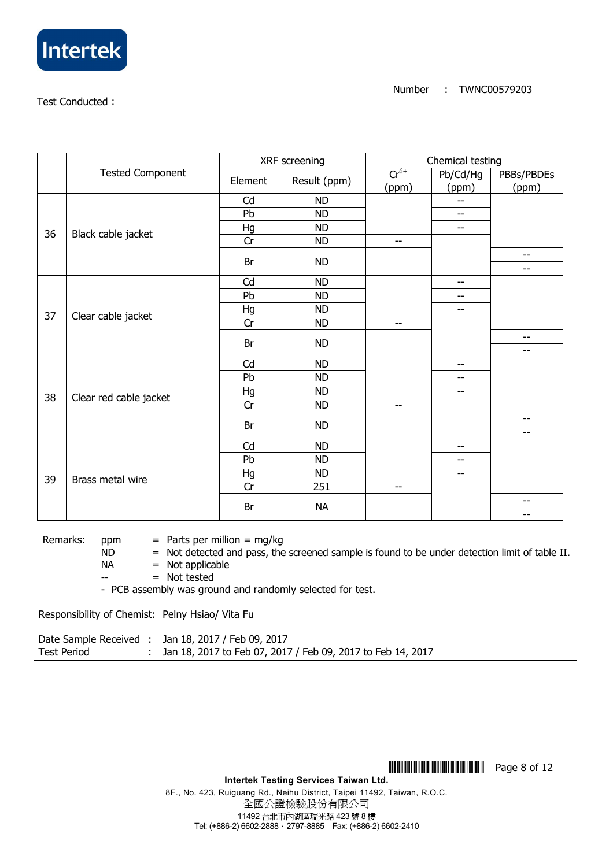

|    |                         | XRF screening |              | Chemical testing   |                   |                                |  |
|----|-------------------------|---------------|--------------|--------------------|-------------------|--------------------------------|--|
|    | <b>Tested Component</b> | Element       | Result (ppm) | $Cr^{6+}$<br>(ppm) | Pb/Cd/Hg<br>(ppm) | PBBs/PBDEs<br>(ppm)            |  |
|    |                         | Cd            | <b>ND</b>    |                    | --                |                                |  |
|    |                         | Pb            | <b>ND</b>    |                    | $\qquad \qquad -$ |                                |  |
| 36 | Black cable jacket      | Hg            | <b>ND</b>    |                    | $-$               |                                |  |
|    |                         | Cr            | <b>ND</b>    | $-$                |                   |                                |  |
|    |                         | Br            | <b>ND</b>    |                    |                   | $\overline{\phantom{a}}$<br>-- |  |
|    |                         | Cd            | <b>ND</b>    |                    | --                |                                |  |
|    |                         | Pb            | <b>ND</b>    |                    | --                |                                |  |
|    |                         | Hg            | <b>ND</b>    |                    | --                |                                |  |
| 37 | Clear cable jacket      | Cr            | <b>ND</b>    | $-$                |                   |                                |  |
|    |                         |               |              |                    |                   | $- -$                          |  |
|    |                         | Br            | <b>ND</b>    |                    |                   | $\overline{\phantom{m}}$       |  |
|    |                         | Cd            | <b>ND</b>    |                    | --                |                                |  |
|    |                         | Pb            | <b>ND</b>    |                    | --                |                                |  |
| 38 |                         | Hg            | <b>ND</b>    |                    | $-$               |                                |  |
|    | Clear red cable jacket  | Cr            | <b>ND</b>    | $-$                |                   |                                |  |
|    |                         | Br            | <b>ND</b>    |                    |                   | $\overline{\phantom{m}}$       |  |
|    |                         |               |              |                    |                   | $-$                            |  |
|    |                         | Cd            | <b>ND</b>    |                    | $-$               |                                |  |
|    |                         | Pb            | <b>ND</b>    |                    | --                |                                |  |
| 39 | Brass metal wire        | Hg            | <b>ND</b>    |                    | $\qquad \qquad -$ |                                |  |
|    |                         | Cr            | 251          | $\qquad \qquad -$  |                   |                                |  |
|    |                         | Br            | <b>NA</b>    |                    |                   | $-$                            |  |
|    |                         |               |              |                    |                   | --                             |  |

Remarks: ppm  $=$  Parts per million  $=$  mg/kg

 $ND$  = Not detected and pass, the screened sample is found to be under detection limit of table II.

 $NA$  = Not applicable

 $=$  Not tested

- PCB assembly was ground and randomly selected for test.

Responsibility of Chemist: Pelny Hsiao/ Vita Fu

|                    | Date Sample Received : Jan 18, 2017 / Feb 09, 2017          |
|--------------------|-------------------------------------------------------------|
| <b>Test Period</b> | Jan 18, 2017 to Feb 07, 2017 / Feb 09, 2017 to Feb 14, 2017 |

**THEFFER 2018 Page 8 of 12** 

**Intertek Testing Services Taiwan Ltd.** 

8F., No. 423, Ruiguang Rd., Neihu District, Taipei 11492, Taiwan, R.O.C. 全國公證檢驗股份有限公司 11492 台北市內湖區瑞光路 423 號 8 樓 Tel: (+886-2) 6602-2888 · 2797-8885 Fax: (+886-2) 6602-2410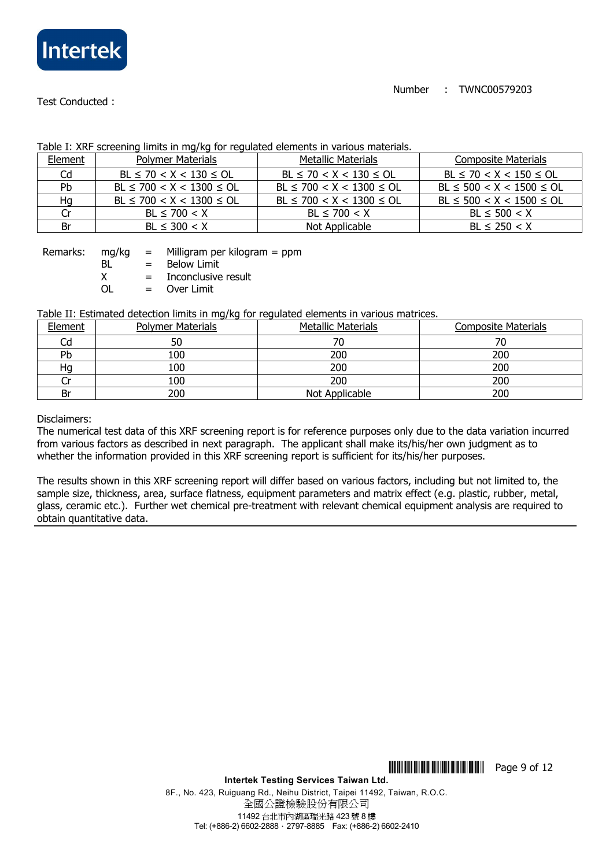

|           | able 11700 belocating innies in mighty for regulated cienties in randals materials. |                                |                                |  |  |  |  |  |
|-----------|-------------------------------------------------------------------------------------|--------------------------------|--------------------------------|--|--|--|--|--|
| Element   | <b>Polymer Materials</b>                                                            | <b>Metallic Materials</b>      | <b>Composite Materials</b>     |  |  |  |  |  |
| Cd        | $BL \le 70 < X < 130 \le OL$                                                        | $BL \le 70 < X < 130 \le OL$   | $BL \le 70 < X < 150 \le OL$   |  |  |  |  |  |
| <b>Pb</b> | $BL \le 700 < X < 1300 \le OL$                                                      | $BL \le 700 < X < 1300 \le OL$ | $BL \le 500 < X < 1500 \le OL$ |  |  |  |  |  |
| Нq        | $BL \le 700 < X < 1300 \le OL$                                                      | $BL \le 700 < X < 1300 \le OL$ | $BL \le 500 < X < 1500 \le OL$ |  |  |  |  |  |
| Cr        | $BL \le 700 < X$                                                                    | $BL \le 700 < X$               | $BL \le 500 < X$               |  |  |  |  |  |
| Br        | $BL \leq 300 < X$                                                                   | Not Applicable                 | $BL \le 250 < X$               |  |  |  |  |  |

### Table I: XRF screening limits in mg/kg for regulated elements in various materials.

Remarks: mg/kg = Milligram per kilogram = ppm BL = Below Limit  $X =$  Inconclusive result

OL = Over Limit

#### Table II: Estimated detection limits in mg/kg for regulated elements in various matrices.

| <b>Element</b> | <b>Polymer Materials</b> | <b>Metallic Materials</b> | <b>Composite Materials</b> |
|----------------|--------------------------|---------------------------|----------------------------|
| Cd             | 50                       | 70                        |                            |
| Pb             | 100                      | 200                       | 200                        |
| Нg             | 100                      | 200                       | 200                        |
|                | 100                      | 200                       | 200                        |
| Br             | 200                      | Not Applicable            | 200                        |

Disclaimers:

The numerical test data of this XRF screening report is for reference purposes only due to the data variation incurred from various factors as described in next paragraph. The applicant shall make its/his/her own judgment as to whether the information provided in this XRF screening report is sufficient for its/his/her purposes.

The results shown in this XRF screening report will differ based on various factors, including but not limited to, the sample size, thickness, area, surface flatness, equipment parameters and matrix effect (e.g. plastic, rubber, metal, glass, ceramic etc.). Further wet chemical pre-treatment with relevant chemical equipment analysis are required to obtain quantitative data.

**THEFFERICAL SETTING CONTROL** Page 9 of 12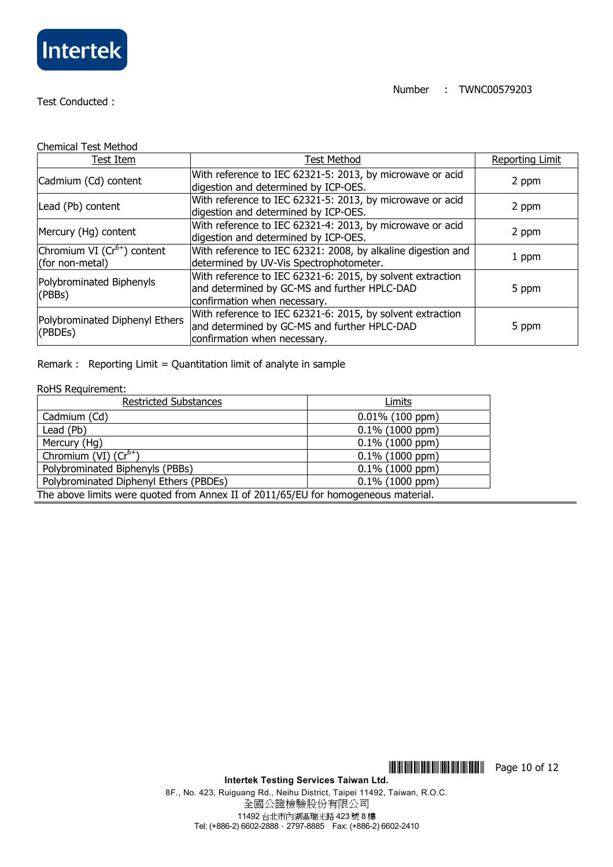

| <b>Chemical Test Method</b>                        |                                                                                                                                            |                        |
|----------------------------------------------------|--------------------------------------------------------------------------------------------------------------------------------------------|------------------------|
| Test Item                                          | <b>Test Method</b>                                                                                                                         | <b>Reporting Limit</b> |
| Cadmium (Cd) content                               | With reference to IEC 62321-5: 2013, by microwave or acid<br>digestion and determined by ICP-OES.                                          | 2 ppm                  |
| Lead (Pb) content                                  | With reference to IEC 62321-5: 2013, by microwave or acid<br>digestion and determined by ICP-OES.                                          | 2 ppm                  |
| Mercury (Hg) content                               | With reference to IEC 62321-4: 2013, by microwave or acid<br>digestion and determined by ICP-OES.                                          | 2 ppm                  |
| Chromium VI $(Cr^{6+})$ content<br>(for non-metal) | With reference to IEC 62321: 2008, by alkaline digestion and<br>determined by UV-Vis Spectrophotometer.                                    | 1 ppm                  |
| Polybrominated Biphenyls<br>(PBBs)                 | With reference to IEC 62321-6: 2015, by solvent extraction<br>and determined by GC-MS and further HPLC-DAD<br>confirmation when necessary. | 5 ppm                  |
| Polybrominated Diphenyl Ethers<br>(PBDEs)          | With reference to IEC 62321-6: 2015, by solvent extraction<br>and determined by GC-MS and further HPLC-DAD<br>confirmation when necessary. | 5 ppm                  |

Remark : Reporting Limit = Quantitation limit of analyte in sample

#### RoHS Requirement:

| <b>Restricted Substances</b>                                                       | Limits             |  |
|------------------------------------------------------------------------------------|--------------------|--|
| Cadmium (Cd)                                                                       | $0.01\%$ (100 ppm) |  |
| Lead (Pb)                                                                          | $0.1\%$ (1000 ppm) |  |
| Mercury (Hg)                                                                       | $0.1\%$ (1000 ppm) |  |
| Chromium (VI) $(Cr^{6+})$                                                          | $0.1\%$ (1000 ppm) |  |
| Polybrominated Biphenyls (PBBs)                                                    | $0.1\%$ (1000 ppm) |  |
| Polybrominated Diphenyl Ethers (PBDEs)                                             | $0.1\%$ (1000 ppm) |  |
| The above limits were quoted from Annex II of 2011/65/EU for homogeneous material. |                    |  |

**THEFFER 203** Page 10 of 12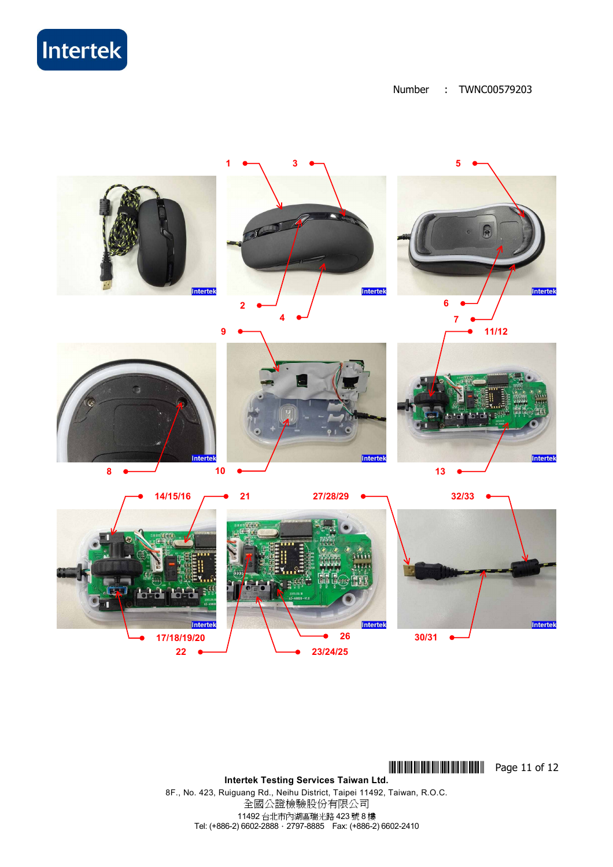Intertek

Number : TWNC00579203



**THEFFER 203** Page 11 of 12